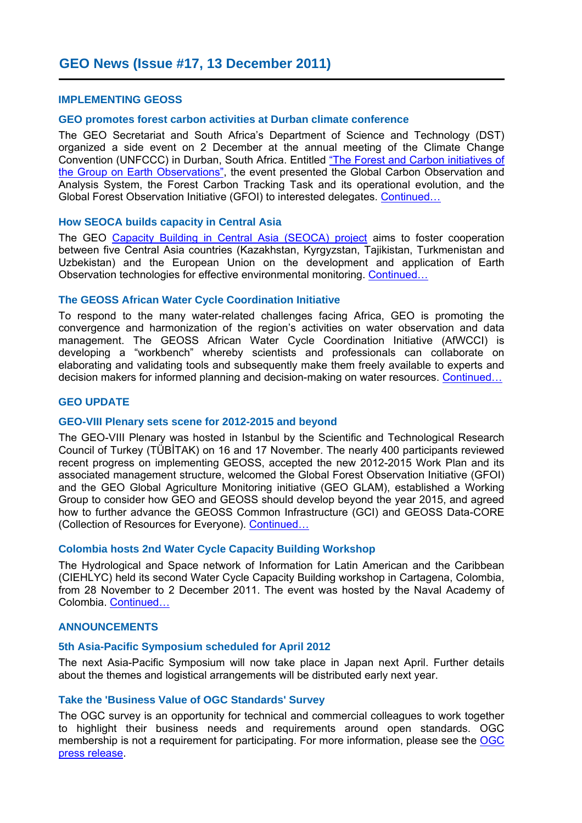### **IMPLEMENTING GEOSS**

### **GEO promotes forest carbon activities at Durban climate conference**

[the Group on Earth Observations",](http://www.earthobservations.org/documents/meetings/201112_cop17_geo_fci/201112_cop17_geo_fci_draft_program.pdf) the event presented the Global Carbon Observation and the Group on Earth Observations", the event presented the Global Carbon Observation and The GEO Secretariat and South Africa's Department of Science and Technology (DST) organized a side event on 2 December at the annual meeting of the Climate Change Convention (UNFCCC) in Durban, South Africa. Entitled ["The Forest and Carbon initiatives of](http://www.earthobservations.org/documents/meetings/201112_cop17_geo_fci/201112_cop17_geo_fci_draft_program.pdf) Analysis System, the Forest Carbon Tracking Task and its operational evolution, and the Global Forest Observation Initiative (GFOI) to interested delegates. [Continued…](http://www.earthobservations.org/art_017_001.shtml)

### **How SEOCA builds capacity in Central Asia**

 Uzbekistan) and the European Union on the development and application of Earth The GEO [Capacity Building in Central Asia \(SEOCA\) project](http://www.geo-seoca.net/) aims to foster cooperation between five Central Asia countries (Kazakhstan, Kyrgyzstan, Tajikistan, Turkmenistan and Observation technologies for effective environmental monitoring. [Continued…](http://www.earthobservations.org/art_017_002.shtml)

### **The GEOSS African Water Cycle Coordination Initiative**

 developing a "workbench" whereby scientists and professionals can collaborate on To respond to the many water-related challenges facing Africa, GEO is promoting the convergence and harmonization of the region's activities on water observation and data management. The GEOSS African Water Cycle Coordination Initiative (AfWCCI) is elaborating and validating tools and subsequently make them freely available to experts and decision makers for informed planning and decision-making on water resources. Continued...

# **GEO UPDATE**

### **GEO-VIII Plenary sets scene for 2012-2015 and beyond**

 and the GEO Global Agriculture Monitoring initiative (GEO GLAM), established a Working The GEO-VIII Plenary was hosted in Istanbul by the Scientific and Technological Research Council of Turkey (TÜBİTAK) on 16 and 17 November. The nearly 400 participants reviewed recent progress on implementing GEOSS, accepted the new 2012-2015 Work Plan and its associated management structure, welcomed the Global Forest Observation Initiative (GFOI) Group to consider how GEO and GEOSS should develop beyond the year 2015, and agreed how to further advance the GEOSS Common Infrastructure (GCI) and GEOSS Data-CORE (Collection of Resources for Everyone). [Continued…](http://www.earthobservations.org/art_017_004.shtml)

#### **Colombia hosts 2nd Water Cycle Capacity Building Workshop**

 from 28 November to 2 December 2011. The event was hosted by the Naval Academy of The Hydrological and Space network of Information for Latin American and the Caribbean (CIEHLYC) held its second Water Cycle Capacity Building workshop in Cartagena, Colombia, Colombia. [Continued…](http://www.earthobservations.org/art_017_005.shtml)

# **ANNOUNCEMENTS**

### **5th Asia-Pacific Symposium scheduled for April 2012**

 about the themes and logistical arrangements will be distributed early next year. The next Asia-Pacific Symposium will now take place in Japan next April. Further details

### **Take the 'Business Value of OGC Standards' Survey**

membership is not a requirement for participating. For more information, please see the OGC The OGC survey is an opportunity for technical and commercial colleagues to work together to highlight their business needs and requirements around open standards. OGC [press release.](http://www.opengeospatial.org/pressroom/pressreleases/1496)